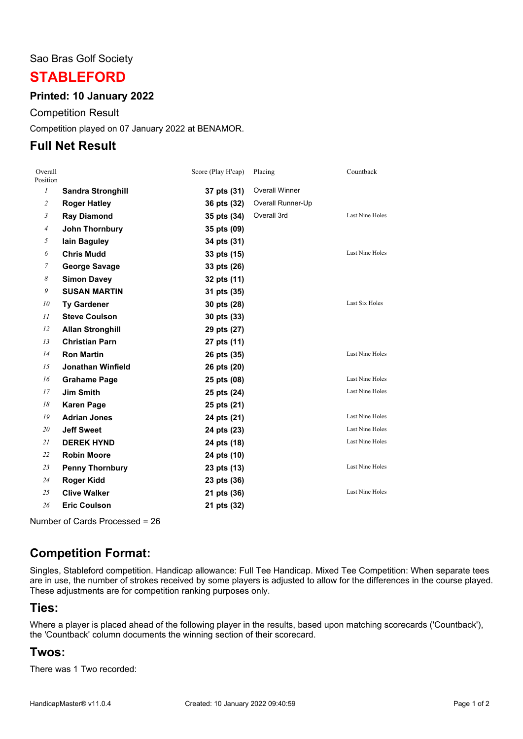#### Sao Bras Golf Society

# **STABLEFORD**

#### **Printed: 10 January 2022**

Competition Result

Competition played on 07 January 2022 at BENAMOR.

## **Full Net Result**

| Overall<br>Position |                          | Score (Play H'cap) | Placing               | Countback              |
|---------------------|--------------------------|--------------------|-----------------------|------------------------|
| $\mathcal{I}$       | <b>Sandra Stronghill</b> | 37 pts (31)        | <b>Overall Winner</b> |                        |
| $\overline{c}$      | <b>Roger Hatley</b>      | 36 pts (32)        | Overall Runner-Up     |                        |
| $\mathfrak{Z}$      | <b>Ray Diamond</b>       | 35 pts (34)        | Overall 3rd           | <b>Last Nine Holes</b> |
| $\overline{4}$      | John Thornbury           | 35 pts (09)        |                       |                        |
| 5                   | lain Baguley             | 34 pts (31)        |                       |                        |
| 6                   | <b>Chris Mudd</b>        | 33 pts (15)        |                       | <b>Last Nine Holes</b> |
| 7                   | <b>George Savage</b>     | 33 pts (26)        |                       |                        |
| 8                   | <b>Simon Davey</b>       | 32 pts (11)        |                       |                        |
| 9                   | <b>SUSAN MARTIN</b>      | 31 pts (35)        |                       |                        |
| 10                  | <b>Ty Gardener</b>       | 30 pts (28)        |                       | Last Six Holes         |
| 11                  | <b>Steve Coulson</b>     | 30 pts (33)        |                       |                        |
| 12                  | <b>Allan Stronghill</b>  | 29 pts (27)        |                       |                        |
| 13                  | <b>Christian Parn</b>    | 27 pts (11)        |                       |                        |
| 14                  | <b>Ron Martin</b>        | 26 pts (35)        |                       | <b>Last Nine Holes</b> |
| 15                  | Jonathan Winfield        | 26 pts (20)        |                       |                        |
| 16                  | <b>Grahame Page</b>      | 25 pts (08)        |                       | <b>Last Nine Holes</b> |
| 17                  | <b>Jim Smith</b>         | 25 pts (24)        |                       | Last Nine Holes        |
| 18                  | <b>Karen Page</b>        | 25 pts (21)        |                       |                        |
| 19                  | <b>Adrian Jones</b>      | 24 pts (21)        |                       | <b>Last Nine Holes</b> |
| 20                  | <b>Jeff Sweet</b>        | 24 pts (23)        |                       | Last Nine Holes        |
| 21                  | <b>DEREK HYND</b>        | 24 pts (18)        |                       | <b>Last Nine Holes</b> |
| 22                  | <b>Robin Moore</b>       | 24 pts (10)        |                       |                        |
| 23                  | <b>Penny Thornbury</b>   | 23 pts (13)        |                       | <b>Last Nine Holes</b> |
| 24                  | <b>Roger Kidd</b>        | 23 pts (36)        |                       |                        |
| 25                  | <b>Clive Walker</b>      | 21 pts (36)        |                       | <b>Last Nine Holes</b> |
| 26                  | <b>Eric Coulson</b>      | 21 pts (32)        |                       |                        |

Number of Cards Processed = 26

# **Competition Format:**

Singles, Stableford competition. Handicap allowance: Full Tee Handicap. Mixed Tee Competition: When separate tees are in use, the number of strokes received by some players is adjusted to allow for the differences in the course played. These adjustments are for competition ranking purposes only.

### **Ties:**

Where a player is placed ahead of the following player in the results, based upon matching scorecards ('Countback'), the 'Countback' column documents the winning section of their scorecard.

### **Twos:**

There was 1 Two recorded: